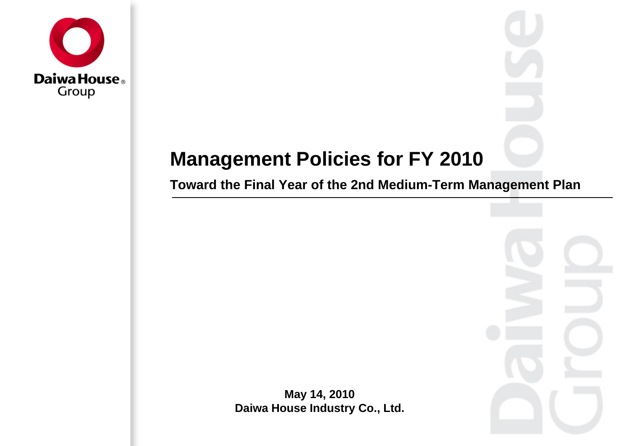

# **Management Policies for FY 2010**

**Toward the Final Year of the 2nd Medium-Term Management Plan**

**May 14, 2010 Daiwa House Industry Co., Ltd.**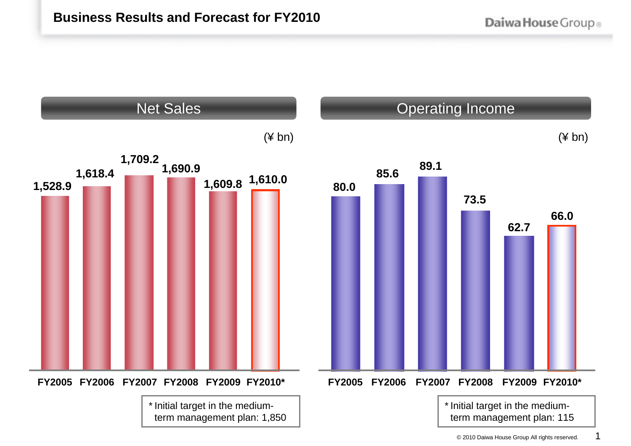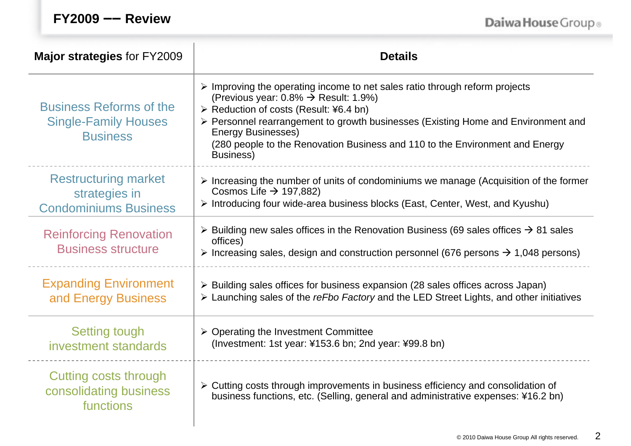| $FY2009$ — | <b>Review</b> |
|------------|---------------|
|------------|---------------|

Daiwa House Group®

| Major strategies for FY2009                                                      | <b>Details</b>                                                                                                                                                                                                                                                                                                                                                                                           |  |  |  |  |
|----------------------------------------------------------------------------------|----------------------------------------------------------------------------------------------------------------------------------------------------------------------------------------------------------------------------------------------------------------------------------------------------------------------------------------------------------------------------------------------------------|--|--|--|--|
| <b>Business Reforms of the</b><br><b>Single-Family Houses</b><br><b>Business</b> | $\triangleright$ Improving the operating income to net sales ratio through reform projects<br>(Previous year: $0.8\% \rightarrow$ Result: 1.9%)<br>≻ Reduction of costs (Result: ¥6.4 bn)<br>> Personnel rearrangement to growth businesses (Existing Home and Environment and<br><b>Energy Businesses)</b><br>(280 people to the Renovation Business and 110 to the Environment and Energy<br>Business) |  |  |  |  |
| <b>Restructuring market</b><br>strategies in<br><b>Condominiums Business</b>     | $\triangleright$ Increasing the number of units of condominiums we manage (Acquisition of the former<br>Cosmos Life $\rightarrow$ 197,882)<br>> Introducing four wide-area business blocks (East, Center, West, and Kyushu)                                                                                                                                                                              |  |  |  |  |
| <b>Reinforcing Renovation</b><br><b>Business structure</b>                       | $\triangleright$ Building new sales offices in the Renovation Business (69 sales offices $\rightarrow$ 81 sales<br>offices)<br>> Increasing sales, design and construction personnel (676 persons $\rightarrow$ 1,048 persons)                                                                                                                                                                           |  |  |  |  |
| <b>Expanding Environment</b><br>and Energy Business                              | $\triangleright$ Building sales offices for business expansion (28 sales offices across Japan)<br>> Launching sales of the reFbo Factory and the LED Street Lights, and other initiatives                                                                                                                                                                                                                |  |  |  |  |
| <b>Setting tough</b><br>investment standards                                     | $\triangleright$ Operating the Investment Committee<br>(Investment: 1st year: ¥153.6 bn; 2nd year: ¥99.8 bn)                                                                                                                                                                                                                                                                                             |  |  |  |  |
| Cutting costs through<br>consolidating business<br>functions                     | > Cutting costs through improvements in business efficiency and consolidation of<br>business functions, etc. (Selling, general and administrative expenses: ¥16.2 bn)                                                                                                                                                                                                                                    |  |  |  |  |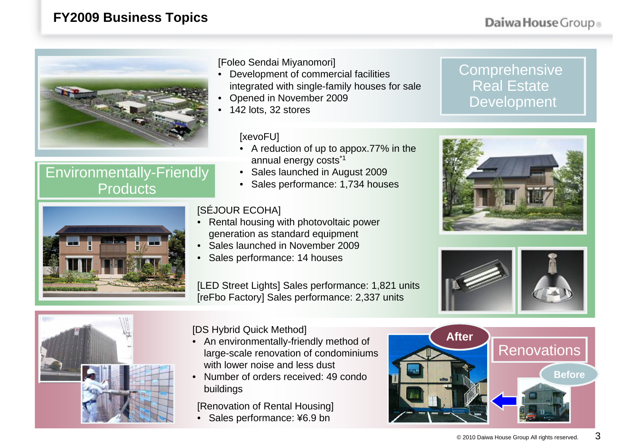### **FY2009 Business Topics**



### Environmentally-Friendly Products



[Foleo Sendai Miyanomori]

- • Development of commercial facilities integrated with single-family houses for sale
- •Opened in November 2009
- 142 lots, 32 stores

[xevoFU]

- A reduction of up to appox.77% in the annual energy costs\*1
- Sales launched in August 2009
- Sales performance: 1,734 houses

#### [SÉJOUR ECOHA]

•

- Rental housing with photovoltaic power generation as standard equipment
- Sales launched in November 2009
- •Sales performance: 14 houses

[LED Street Lights] Sales performance: 1,821 units [reFbo Factory] Sales performance: 2,337 units









[DS Hybrid Quick Method]

- An environmentally-friendly method of large-scale renovation of condominiums with lower noise and less dust
- • Number of orders received: 49 condo buildings

[Renovation of Rental Housing]

• Sales performance: ¥6.9 bn

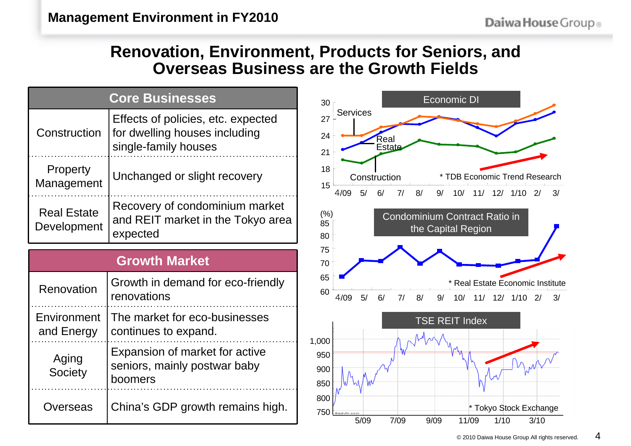## **Renovation, Environment, Products for Seniors, and Overseas Business are the Growth Fields**

| <b>Core Businesses</b>            |                                                                                             |  |  |  |
|-----------------------------------|---------------------------------------------------------------------------------------------|--|--|--|
| Construction                      | Effects of policies, etc. expected<br>for dwelling houses including<br>single-family houses |  |  |  |
| Property<br>Management            | Unchanged or slight recovery                                                                |  |  |  |
| <b>Real Estate</b><br>Development | Recovery of condominium market<br>and REIT market in the Tokyo area<br>expected             |  |  |  |

#### **Growth Market**

| Renovation                | Growth in demand for eco-friendly<br>renovations                          |  |
|---------------------------|---------------------------------------------------------------------------|--|
| Environment<br>and Energy | The market for eco-businesses<br>continues to expand.                     |  |
| Aging<br>Society          | Expansion of market for active<br>seniors, mainly postwar baby<br>boomers |  |
| Overseas                  | China's GDP growth remains high.                                          |  |

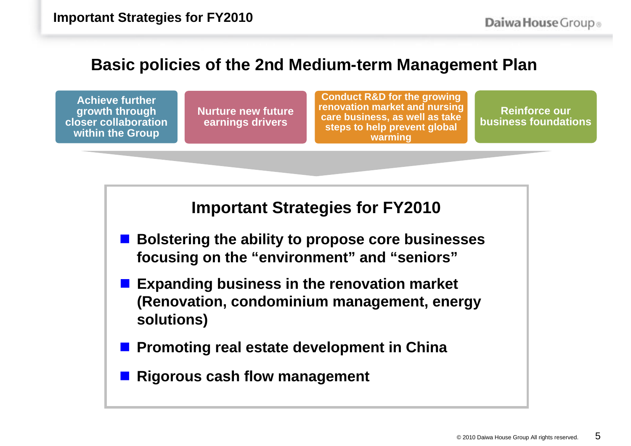## **Basic policies of the 2nd Medium-term Management Plan**

**Achieve further growth through closer collaboration within the Group**

**Nurture new future earnings drivers**

**Conduct R&D for the growing renovation market and nursing care business, as well as take steps to help prevent global warming**

**Reinforce our business foundations**

**Important Strategies for FY2010**

- Bolstering the ability to propose core businesses **focusing on the "environment" and "seniors"**
- **Expanding business in the renovation market (Renovation, condominium management, energy solutions)**
- **Promoting real estate development in China**
- **Rigorous cash flow management**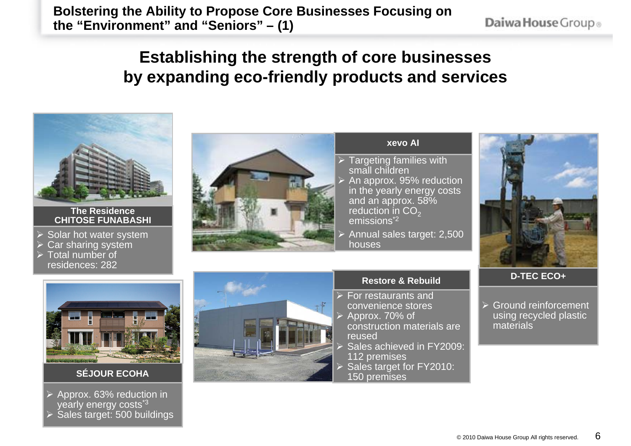**Bolstering the Ability to Propose Core Businesses Focusing on the "Environment" and "Seniors" – (1)**

Daiwa House Group®

## **Establishing the strength of core businesses by expanding eco-friendly products and services**



#### **The ResidenceCHITOSE FUNABASHI**

- $\triangleright$  Solar hot water system
- ¾Car sharing system
- $\triangleright$  Total number of residences: 282



#### **xevo AI**

- Targeting families with small children An approx. 95% reduction in the yearly energy costs and an approx. 58% reduction in  $CO<sub>2</sub>$ emissions<sup>\*2</sup>
- ¾ Annual sales target: 2,500 houses





#### **SÉJOUR ECOHA**

¾ Approx. 63% reduction in yearly energy costs<sup>\*3</sup> ¾Sales target: 500 buildings



#### **Restore & Rebuild**

- For restaurants and convenience stores Approx. 70% of construction materials are reused
- Sales achieved in FY2009: 112 premises Sales target for FY2010:
- 150 premises

#### **D-TEC ECO+**

¾ Ground reinforcement using recycled plastic materials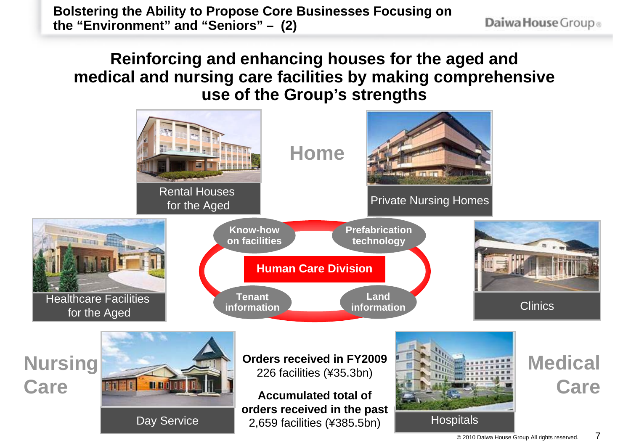**Bolstering the Ability to Propose Core Businesses Focusing on the "Environment" and "Seniors" – (2)**

Daiwa House Group®

## **Reinforcing and enhancing houses for the aged and medical and nursing care facilities by making comprehensive use of the Group's strengths**

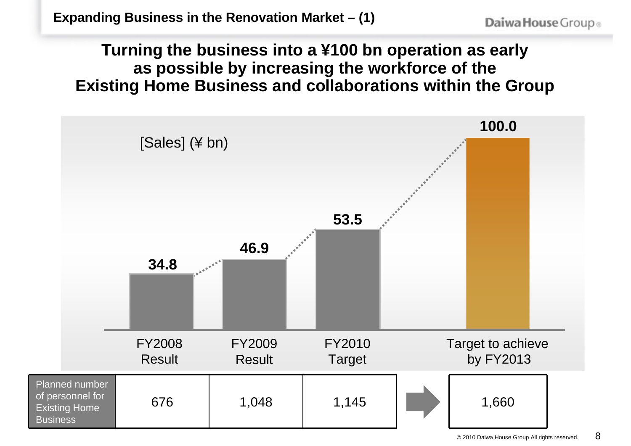## **Turning the business into a ¥100 bn operation as early as possible by increasing the workforce of the Existing Home Business and collaborations within the Group**

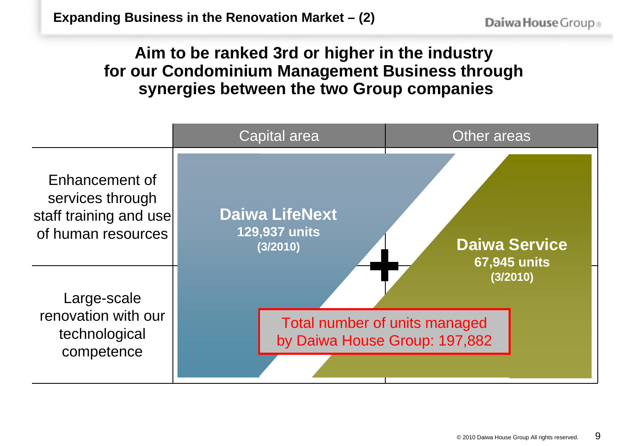## **Aim to be ranked 3rd or higher in the industry for our Condominium Management Business through synergies between the two Group companies**

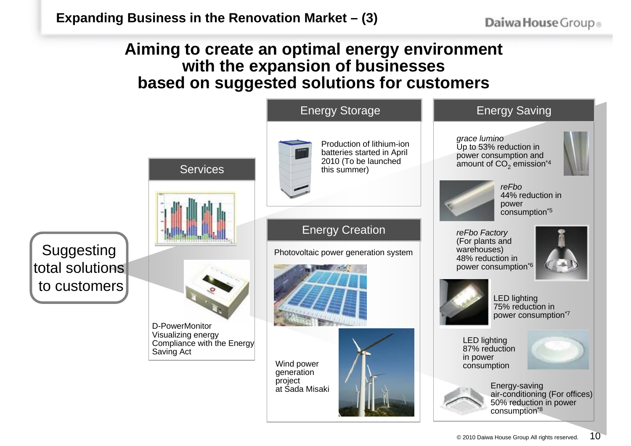## **Aiming to create an optimal energy environment with the expansion of businesses based on suggested solutions for customers**

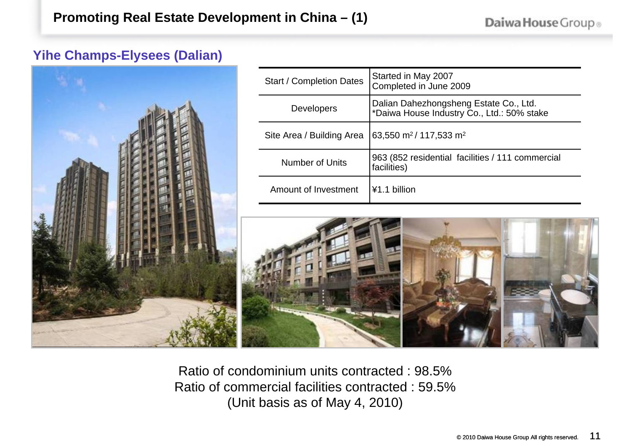### **Yihe Champs-Elysees (Dalian)**



| <b>Start / Completion Dates</b> | Started in May 2007<br>Completed in June 2009                                        |  |  |
|---------------------------------|--------------------------------------------------------------------------------------|--|--|
| <b>Developers</b>               | Dalian Dahezhongsheng Estate Co., Ltd.<br>*Daiwa House Industry Co., Ltd.: 50% stake |  |  |
| Site Area / Building Area       | 63,550 m <sup>2</sup> /117,533 m <sup>2</sup>                                        |  |  |
| <b>Number of Units</b>          | 963 (852 residential facilities / 111 commercial<br>facilities)                      |  |  |
| Amount of Investment            | ¥1.1 billion                                                                         |  |  |



Ratio of condominium units contracted : 98.5% Ratio of commercial facilities contracted : 59.5% (Unit basis as of May 4, 2010)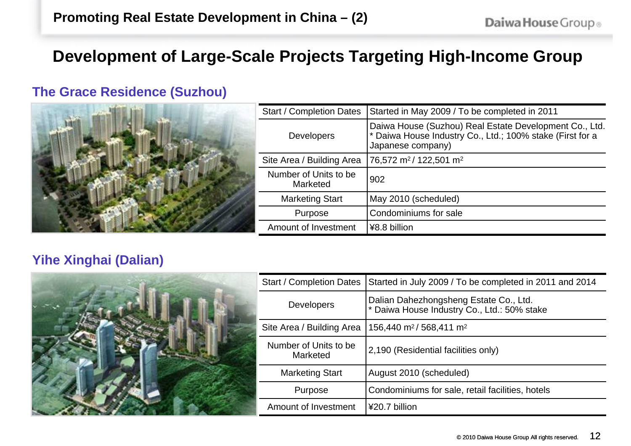## **Development of Large-Scale Projects Targeting High-Income Group**

### **The Grace Residence (Suzhou)**



| <b>Start / Completion Dates</b>   | Started in May 2009 / To be completed in 2011                                                                                            |  |  |  |
|-----------------------------------|------------------------------------------------------------------------------------------------------------------------------------------|--|--|--|
| <b>Developers</b>                 | Daiwa House (Suzhou) Real Estate Development Co., Ltd.<br>* Daiwa House Industry Co., Ltd.; 100% stake (First for a<br>Japanese company) |  |  |  |
| Site Area / Building Area         | 76,572 m <sup>2</sup> /122,501 m <sup>2</sup>                                                                                            |  |  |  |
| Number of Units to be<br>Marketed | 902                                                                                                                                      |  |  |  |
| <b>Marketing Start</b>            | May 2010 (scheduled)                                                                                                                     |  |  |  |
| Purpose                           | Condominiums for sale                                                                                                                    |  |  |  |
| Amount of Investment              | ¥8.8 billion                                                                                                                             |  |  |  |

### **Yihe Xinghai (Dalian)**



| <b>Start / Completion Dates</b>   | Started in July 2009 / To be completed in 2011 and 2014                               |  |  |
|-----------------------------------|---------------------------------------------------------------------------------------|--|--|
| <b>Developers</b>                 | Dalian Dahezhongsheng Estate Co., Ltd.<br>* Daiwa House Industry Co., Ltd.: 50% stake |  |  |
| Site Area / Building Area         | 156,440 m <sup>2</sup> /568,411 m <sup>2</sup>                                        |  |  |
| Number of Units to be<br>Marketed | 2,190 (Residential facilities only)                                                   |  |  |
| <b>Marketing Start</b>            | August 2010 (scheduled)                                                               |  |  |
| Purpose                           | Condominiums for sale, retail facilities, hotels                                      |  |  |
| Amount of Investment              | ¥20.7 billion                                                                         |  |  |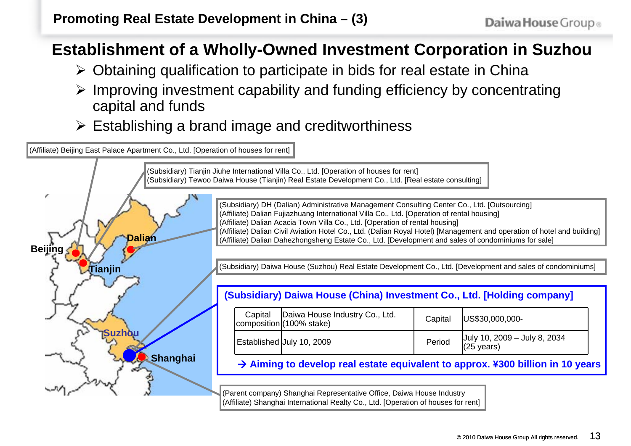## **Establishment of a Wholly-Owned Investment Corporation in Suzhou**

- ¾ Obtaining qualification to participate in bids for real estate in China
- ¾ Improving investment capability and funding efficiency by concentrating capital and funds
- $\triangleright$  Establishing a brand image and creditworthiness

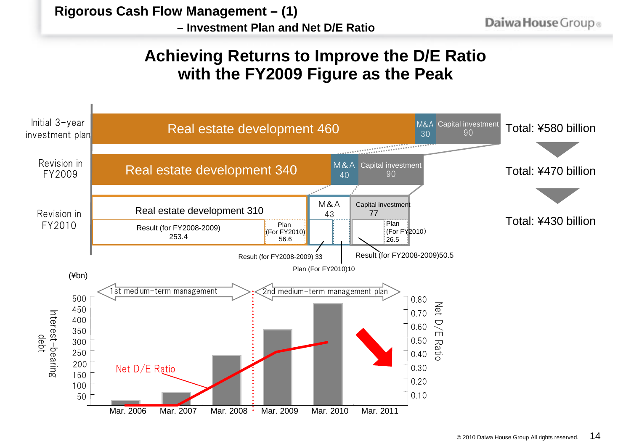**– Investment Plan and Net D/E Ratio**

## **Achieving Returns to Improve the D/E Ratio with the FY2009 Figure as the Peak**

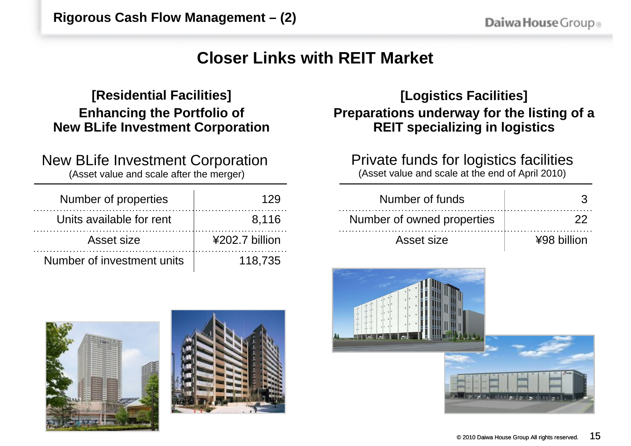## **Closer Links with REIT Market**

### **[Residential Facilities] Enhancing the Portfolio of New BLife Investment Corporation**

New BLife Investment Corporation (Asset value and scale after the merger)

| Number of properties       | 129            |
|----------------------------|----------------|
| Units available for rent   | 8.116          |
| Asset size                 | ¥202.7 billion |
| Number of investment units | 118.735        |

## **[Logistics Facilities] Preparations underway for the listing of a REIT specializing in logistics**

Private funds for logistics facilities (Asset value and scale at the end of April 2010)

| Number of funds            |             |
|----------------------------|-------------|
| Number of owned properties |             |
| Asset size                 | ¥98 billion |





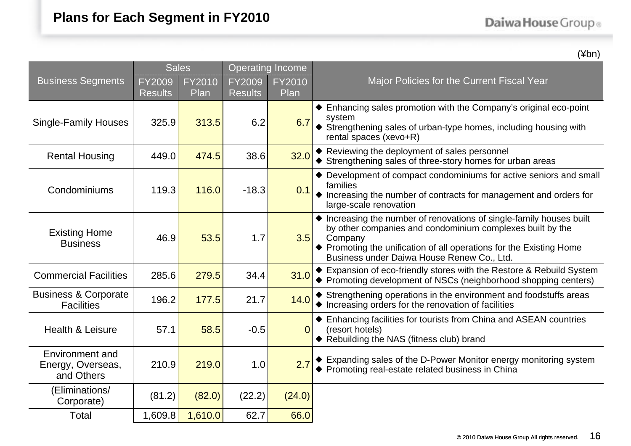(¥bn)

|                                                      | <b>Sales</b>             |                       | <b>Operating Income</b>  |                       |                                                                                                                                                                                                                                                                   |  |
|------------------------------------------------------|--------------------------|-----------------------|--------------------------|-----------------------|-------------------------------------------------------------------------------------------------------------------------------------------------------------------------------------------------------------------------------------------------------------------|--|
| <b>Business Segments</b>                             | FY2009<br><b>Results</b> | <b>FY2010</b><br>Plan | FY2009<br><b>Results</b> | <b>FY2010</b><br>Plan | Major Policies for the Current Fiscal Year                                                                                                                                                                                                                        |  |
| <b>Single-Family Houses</b>                          | 325.9                    | 313.5                 | 6.2                      | 6.7                   | ♦ Enhancing sales promotion with the Company's original eco-point<br>system<br>Strengthening sales of urban-type homes, including housing with<br>rental spaces (xevo+R)                                                                                          |  |
| <b>Rental Housing</b>                                | 449.0                    | 474.5                 | 38.6                     | 32.0                  | ♦ Reviewing the deployment of sales personnel<br>♦ Strengthening sales of three-story homes for urban areas                                                                                                                                                       |  |
| Condominiums                                         | 119.3                    | 116.0                 | $-18.3$                  | 0.1                   | ♦ Development of compact condominiums for active seniors and small<br>families<br>♦ Increasing the number of contracts for management and orders for<br>large-scale renovation                                                                                    |  |
| <b>Existing Home</b><br><b>Business</b>              | 46.9                     | 53.5                  | 1.7                      | 3.5                   | ♦ Increasing the number of renovations of single-family houses built<br>by other companies and condominium complexes built by the<br>Company<br>♦ Promoting the unification of all operations for the Existing Home<br>Business under Daiwa House Renew Co., Ltd. |  |
| <b>Commercial Facilities</b>                         | 285.6                    | 279.5                 | 34.4                     | 31.0                  | Expansion of eco-friendly stores with the Restore & Rebuild System<br>♦ Promoting development of NSCs (neighborhood shopping centers)                                                                                                                             |  |
| <b>Business &amp; Corporate</b><br><b>Facilities</b> | 196.2                    | 177.5                 | 21.7                     | 14.0                  | Strengthening operations in the environment and foodstuffs areas<br>♦ Increasing orders for the renovation of facilities                                                                                                                                          |  |
| Health & Leisure                                     | 57.1                     | 58.5                  | $-0.5$                   | 0                     | ♦ Enhancing facilities for tourists from China and ASEAN countries<br>(resort hotels)<br>◆ Rebuilding the NAS (fitness club) brand                                                                                                                                |  |
| Environment and<br>Energy, Overseas,<br>and Others   | 210.9                    | 219.0                 | 1.0                      | 2.7                   | ♦ Expanding sales of the D-Power Monitor energy monitoring system<br>◆ Promoting real-estate related business in China                                                                                                                                            |  |
| (Eliminations/<br>Corporate)                         | (81.2)                   | (82.0)                | (22.2)                   | (24.0)                |                                                                                                                                                                                                                                                                   |  |
| Total                                                | 1,609.8                  | 1,610.0               | 62.7                     | 66.0                  |                                                                                                                                                                                                                                                                   |  |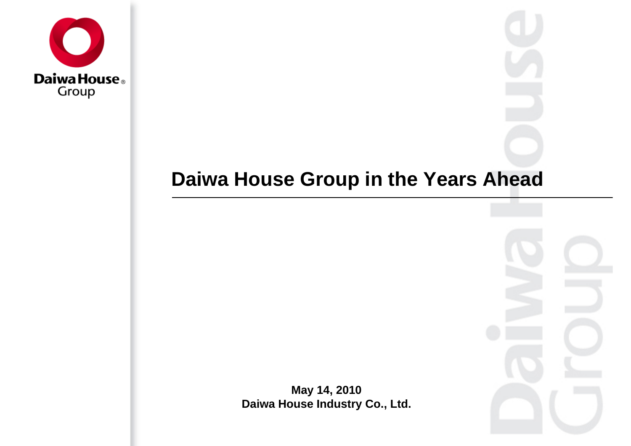

# **Daiwa House Group in the Years Ahead**



**May 14, 2010 Daiwa House Industry Co., Ltd.**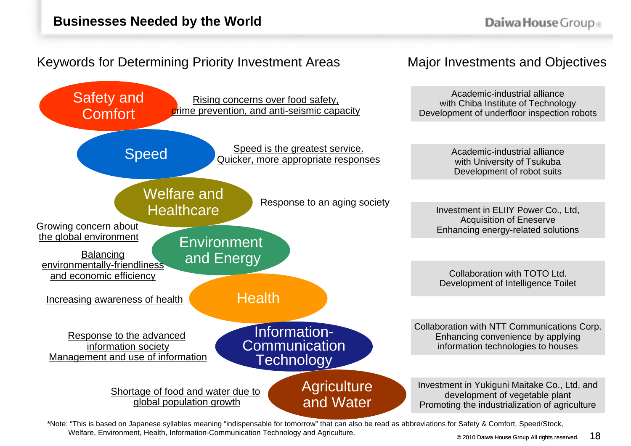Speed

Safety and

**Comfort** 

Growing concern about the global environment

Balancing environmentally-friendliness and economic efficiency

Increasing awareness of health

Response to the advanced information society Management and use of information

### Keywords for Determining Priority Investment Areas

Welfare and

Healthcare

Shortage of food and water due to global population growth

Environment

and Energy

Major Investments and Objectives

Academic-industrial alliance with Chiba Institute of Technology Development of underfloor inspection robots

> Academic-industrial alliance with University of Tsukuba Development of robot suits

Investment in ELIIY Power Co., Ltd, Acquisition of Eneserve Enhancing energy-related solutions

Collaboration with TOTO Ltd. Development of Intelligence Toilet

Collaboration with NTT Communications Corp. Enhancing convenience by applying information technologies to houses

Investment in Yukiguni Maitake Co., Ltd, and development of vegetable plant Promoting the industrialization of agriculture

\*Note: "This is based on Japanese syllables meaning "indispensable for tomorrow" that can also be read as abbreviations for Safety & Comfort, Speed/Stock, Welfare, Environment, Health, Information-Communication Technology and Agriculture.

**Agriculture** 

and Water

Information-**Communication** 

Speed is the greatest service. Quicker, more appropriate responses

Response to an aging society

**Technology** 

**Health** 

Rising concerns over food safety, crime prevention, and anti-seismic capacity

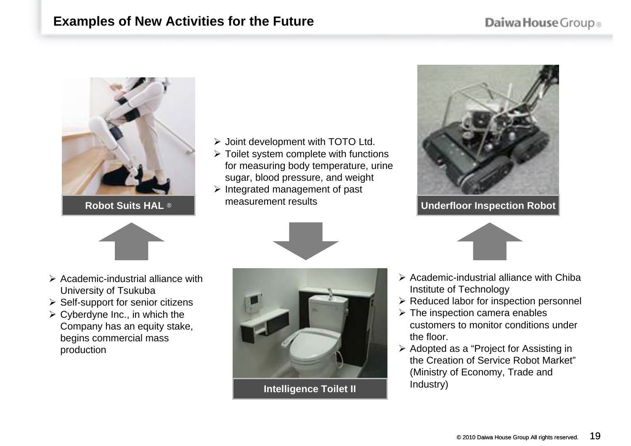#### **Examples of New Activities for the Future**



**Robot Suits HAL** ®

- $\triangleright$  Joint development with TOTO Ltd.
- $\triangleright$  Toilet system complete with functions for measuring body temperature, urine sugar, blood pressure, and weight
- $\triangleright$  Integrated management of past measurement results



**Underfloor Inspection Robot**







- $\triangleright$  Academic-industrial alliance with University of Tsukuba
- $\triangleright$  Self-support for senior citizens
- $\triangleright$  Cyberdyne Inc., in which the Company has an equity stake, begins commercial mass production



**Intelligence Toilet II**

- $\triangleright$  Academic-industrial alliance with Chiba Institute of Technology
- $\triangleright$  Reduced labor for inspection personnel
- $\triangleright$  The inspection camera enables customers to monitor conditions under the floor.
- $\triangleright$  Adopted as a "Project for Assisting in the Creation of Service Robot Market" (Ministry of Economy, Trade and Industry)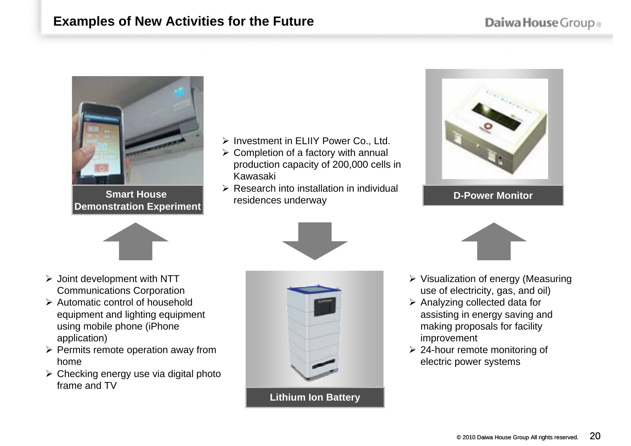#### **Examples of New Activities for the Future**



**Smart House 2007 Demonstration Experiment**

- ¾ Investment in ELIIY Power Co., Ltd.
- $\triangleright$  Completion of a factory with annual production capacity of 200,000 cells in Kawasaki
- $\triangleright$  Research into installation in individual residences underway



#### **D-Power Monitor**



- $\triangleright$  Joint development with NTT Communications Corporation
- $\triangleright$  Automatic control of household equipment and lighting equipment using mobile phone (iPhone application)
- $\triangleright$  Permits remote operation away from home
- $\triangleright$  Checking energy use via digital photo frame and TV



**Lithium Ion Battery**



- $\triangleright$  Visualization of energy (Measuring use of electricity, gas, and oil)
- $\triangleright$  Analyzing collected data for assisting in energy saving and making proposals for facility improvement
- $\geq$  24-hour remote monitoring of electric power systems